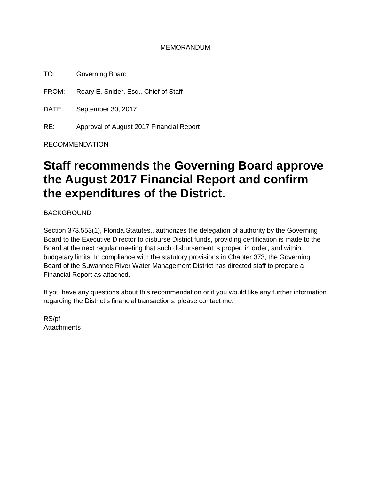### MEMORANDUM

TO: Governing Board

FROM: Roary E. Snider, Esq., Chief of Staff

DATE: September 30, 2017

RE: Approval of August 2017 Financial Report

RECOMMENDATION

# **Staff recommends the Governing Board approve the August 2017 Financial Report and confirm the expenditures of the District.**

**BACKGROUND** 

Section 373.553(1), Florida.Statutes., authorizes the delegation of authority by the Governing Board to the Executive Director to disburse District funds, providing certification is made to the Board at the next regular meeting that such disbursement is proper, in order, and within budgetary limits. In compliance with the statutory provisions in Chapter 373, the Governing Board of the Suwannee River Water Management District has directed staff to prepare a Financial Report as attached.

If you have any questions about this recommendation or if you would like any further information regarding the District's financial transactions, please contact me.

RS/pf **Attachments**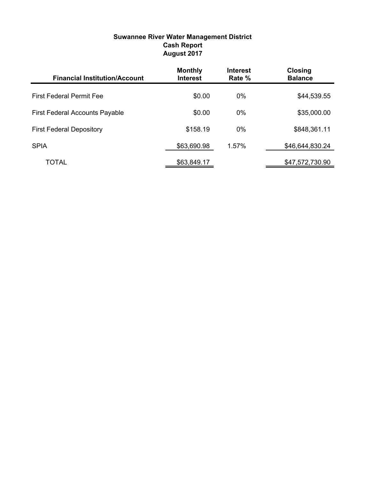## **Suwannee River Water Management District Cash Report August 2017**

| <b>Financial Institution/Account</b>  | <b>Monthly</b><br><b>Interest</b> | <b>Interest</b><br>Rate % | <b>Closing</b><br><b>Balance</b> |
|---------------------------------------|-----------------------------------|---------------------------|----------------------------------|
| <b>First Federal Permit Fee</b>       | \$0.00                            | $0\%$                     | \$44,539.55                      |
| <b>First Federal Accounts Payable</b> | \$0.00                            | $0\%$                     | \$35,000.00                      |
| <b>First Federal Depository</b>       | \$158.19                          | $0\%$                     | \$848,361.11                     |
| <b>SPIA</b>                           | \$63,690.98                       | 1.57%                     | \$46,644,830.24                  |
| TOTAL                                 | \$63,849.17                       |                           | \$47,572,730.90                  |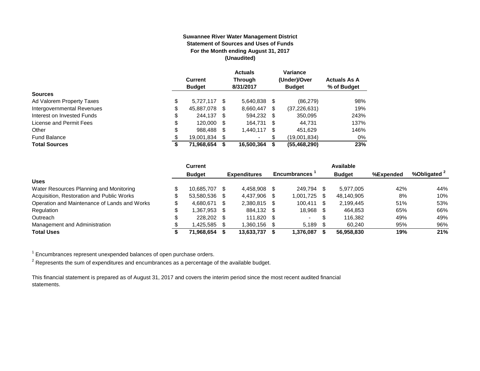#### **Suwannee River Water Management District Statement of Sources and Uses of Funds For the Month ending August 31, 2017 (Unaudited)**

|                            | <b>Current</b><br><b>Budget</b> |   | <b>Actuals</b><br><b>Through</b><br>8/31/2017 |      | Variance<br>(Under)/Over<br><b>Budget</b> | <b>Actuals As A</b><br>% of Budget |
|----------------------------|---------------------------------|---|-----------------------------------------------|------|-------------------------------------------|------------------------------------|
| <b>Sources</b>             |                                 |   |                                               |      |                                           |                                    |
| Ad Valorem Property Taxes  | \$<br>5.727.117                 | S | 5,640,838                                     | S    | (86, 279)                                 | 98%                                |
| Intergovernmental Revenues | \$<br>45,887,078                | S | 8,660,447                                     | \$   | (37, 226, 631)                            | 19%                                |
| Interest on Invested Funds | \$<br>244.137 \$                |   | 594.232 \$                                    |      | 350.095                                   | 243%                               |
| License and Permit Fees    | \$<br>120,000 \$                |   | 164.731                                       | - \$ | 44.731                                    | 137%                               |
| Other                      | \$<br>988,488                   | S | 1.440.117                                     | S    | 451,629                                   | 146%                               |
| <b>Fund Balance</b>        | \$<br>19,001,834                |   | ۰                                             | S    | (19,001,834)                              | 0%                                 |
| <b>Total Sources</b>       | \$<br>71,968,654                |   | 16.500.364                                    | S    | (55, 468, 290)                            | 23%                                |

|                                              |   | <b>Current</b> |      |                     |      |                     |      | Available     |           |                         |
|----------------------------------------------|---|----------------|------|---------------------|------|---------------------|------|---------------|-----------|-------------------------|
|                                              |   | <b>Budget</b>  |      | <b>Expenditures</b> |      | <b>Encumbrances</b> |      | <b>Budget</b> | %Expended | %Obligated <sup>2</sup> |
| <b>Uses</b>                                  |   |                |      |                     |      |                     |      |               |           |                         |
| Water Resources Planning and Monitoring      |   | 10.685.707     | - \$ | 4.458.908           |      | 249.794             |      | 5.977.005     | 42%       | 44%                     |
| Acquisition, Restoration and Public Works    |   | 53.580.536 \$  |      | 4,437,906           | - \$ | 1,001,725           | - \$ | 48,140,905    | 8%        | 10%                     |
| Operation and Maintenance of Lands and Works |   | 4,680,671      | - \$ | 2,380,815           | - \$ | 100.411             | -S   | 2.199.445     | 51%       | 53%                     |
| Regulation                                   | ጦ | 1.367.953 \$   |      | 884.132             | - \$ | 18,968 \$           |      | 464.853       | 65%       | 66%                     |
| Outreach                                     |   | 228,202 \$     |      | 111.820             | - S  | $\sim$              | £.   | 116.382       | 49%       | 49%                     |
| Management and Administration                |   | 1,425,585      |      | 1,360,156           |      | 5.189               |      | 60.240        | 95%       | 96%                     |
| <b>Total Uses</b>                            |   | 71.968.654     |      | 13,633,737          |      | 1.376.087           |      | 56.958.830    | 19%       | 21%                     |

 $1$  Encumbrances represent unexpended balances of open purchase orders.

 $^2$  Represents the sum of expenditures and encumbrances as a percentage of the available budget.

This financial statement is prepared as of August 31, 2017 and covers the interim period since the most recent audited financial statements.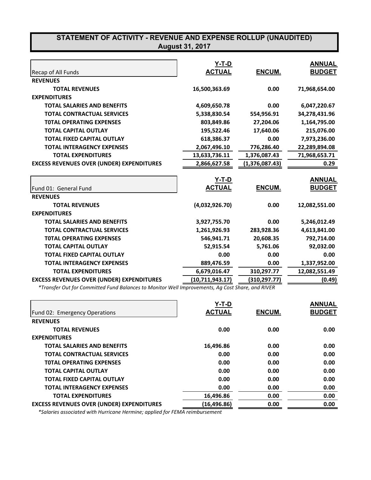## **STATEMENT OF ACTIVITY - REVENUE AND EXPENSE ROLLUP (UNAUDITED) August 31, 2017**

| Recap of All Funds                               | Y-T-D<br><b>ACTUAL</b> | ENCUM.         | <b>ANNUAL</b><br><b>BUDGET</b> |
|--------------------------------------------------|------------------------|----------------|--------------------------------|
| <b>REVENUES</b>                                  |                        |                |                                |
| <b>TOTAL REVENUES</b>                            | 16,500,363.69          | 0.00           | 71,968,654.00                  |
| <b>EXPENDITURES</b>                              |                        |                |                                |
| <b>TOTAL SALARIES AND BENEFITS</b>               | 4,609,650.78           | 0.00           | 6,047,220.67                   |
| <b>TOTAL CONTRACTUAL SERVICES</b>                | 5,338,830.54           | 554,956.91     | 34,278,431.96                  |
| <b>TOTAL OPERATING EXPENSES</b>                  | 803,849.86             | 27,204.06      | 1,164,795.00                   |
| <b>TOTAL CAPITAL OUTLAY</b>                      | 195,522.46             | 17,640.06      | 215,076.00                     |
| <b>TOTAL FIXED CAPITAL OUTLAY</b>                | 618,386.37             | 0.00           | 7,973,236.00                   |
| <b>TOTAL INTERAGENCY EXPENSES</b>                | 2,067,496.10           | 776,286.40     | 22,289,894.08                  |
| <b>TOTAL EXPENDITURES</b>                        | 13,633,736.11          | 1,376,087.43   | 71,968,653.71                  |
| <b>EXCESS REVENUES OVER (UNDER) EXPENDITURES</b> | 2,866,627.58           | (1,376,087.43) | 0.29                           |
|                                                  | Y-T-D                  |                | <b>ANNUAL</b>                  |
| Fund 01: General Fund                            | <b>ACTUAL</b>          | ENCUM.         | <b>BUDGET</b>                  |
| <b>REVENUES</b>                                  |                        |                |                                |
| <b>TOTAL REVENUES</b>                            | (4,032,926.70)         | 0.00           | 12,082,551.00                  |
| <b>EXPENDITURES</b>                              |                        |                |                                |
| <b>TOTAL SALARIES AND BENEFITS</b>               | 3,927,755.70           | 0.00           | 5,246,012.49                   |
| <b>TOTAL CONTRACTUAL SERVICES</b>                | 1,261,926.93           | 283,928.36     | 4,613,841.00                   |
| <b>TOTAL OPERATING EXPENSES</b>                  | 546,941.71             | 20,608.35      | 792,714.00                     |
| <b>TOTAL CAPITAL OUTLAY</b>                      | 52,915.54              | 5,761.06       | 92,032.00                      |
| <b>TOTAL FIXED CAPITAL OUTLAY</b>                | 0.00                   | 0.00           | 0.00                           |
| <b>TOTAL INTERAGENCY EXPENSES</b>                | 889,476.59             | 0.00           | 1,337,952.00                   |
| <b>TOTAL EXPENDITURES</b>                        | 6,679,016.47           | 310,297.77     | 12,082,551.49                  |
| <b>EXCESS REVENUES OVER (UNDER) EXPENDITURES</b> | (10, 711, 943.17)      | (310,297.77)   | (0.49)                         |

 *\*Transfer Out for Committed Fund Balances to Monitor Well Improvements, Ag Cost Share, and RIVER*

|                                                  | Y-T-D         |        | <b>ANNUAL</b> |
|--------------------------------------------------|---------------|--------|---------------|
| Fund 02: Emergency Operations                    | <b>ACTUAL</b> | ENCUM. | <b>BUDGET</b> |
| <b>REVENUES</b>                                  |               |        |               |
| <b>TOTAL REVENUES</b>                            | 0.00          | 0.00   | 0.00          |
| <b>EXPENDITURES</b>                              |               |        |               |
| <b>TOTAL SALARIES AND BENEFITS</b>               | 16,496.86     | 0.00   | 0.00          |
| <b>TOTAL CONTRACTUAL SERVICES</b>                | 0.00          | 0.00   | 0.00          |
| <b>TOTAL OPERATING EXPENSES</b>                  | 0.00          | 0.00   | 0.00          |
| <b>TOTAL CAPITAL OUTLAY</b>                      | 0.00          | 0.00   | 0.00          |
| <b>TOTAL FIXED CAPITAL OUTLAY</b>                | 0.00          | 0.00   | 0.00          |
| <b>TOTAL INTERAGENCY EXPENSES</b>                | 0.00          | 0.00   | 0.00          |
| <b>TOTAL EXPENDITURES</b>                        | 16,496.86     | 0.00   | 0.00          |
| <b>EXCESS REVENUES OVER (UNDER) EXPENDITURES</b> | (16, 496.86)  | 0.00   | 0.00          |

 *\*Salaries associated with Hurricane Hermine; applied for FEMA reimbursement*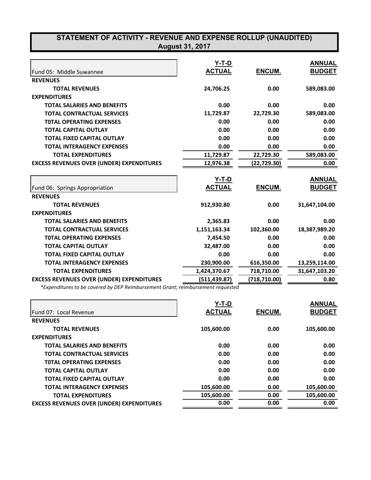| STATEMENT OF ACTIVITY - REVENUE AND EXPENSE ROLLUP (UNAUDITED)<br><b>August 31, 2017</b> |               |               |               |  |  |
|------------------------------------------------------------------------------------------|---------------|---------------|---------------|--|--|
|                                                                                          | $Y-T-D$       |               | <b>ANNUAL</b> |  |  |
| Fund 05: Middle Suwannee                                                                 | <b>ACTUAL</b> | ENCUM.        | <b>BUDGET</b> |  |  |
| <b>REVENUES</b>                                                                          |               |               |               |  |  |
| <b>TOTAL REVENUES</b>                                                                    | 24,706.25     | 0.00          | 589,083.00    |  |  |
| <b>EXPENDITURES</b>                                                                      |               |               |               |  |  |
| <b>TOTAL SALARIES AND BENEFITS</b>                                                       | 0.00          | 0.00          | 0.00          |  |  |
| <b>TOTAL CONTRACTUAL SERVICES</b>                                                        | 11,729.87     | 22,729.30     | 589,083.00    |  |  |
| <b>TOTAL OPERATING EXPENSES</b>                                                          | 0.00          | 0.00          | 0.00          |  |  |
| <b>TOTAL CAPITAL OUTLAY</b>                                                              | 0.00          | 0.00          | 0.00          |  |  |
| <b>TOTAL FIXED CAPITAL OUTLAY</b>                                                        | 0.00          | 0.00          | 0.00          |  |  |
| <b>TOTAL INTERAGENCY EXPENSES</b>                                                        | 0.00          | 0.00          | 0.00          |  |  |
| <b>TOTAL EXPENDITURES</b>                                                                | 11,729.87     | 22,729.30     | 589,083.00    |  |  |
| <b>EXCESS REVENUES OVER (UNDER) EXPENDITURES</b>                                         | 12,976.38     | (22,729.30)   | 0.00          |  |  |
|                                                                                          | $Y-T-D$       |               | <b>ANNUAL</b> |  |  |
| Fund 06: Springs Appropriation                                                           | <b>ACTUAL</b> | <b>ENCUM.</b> | <b>BUDGET</b> |  |  |
| <b>REVENUES</b>                                                                          |               |               |               |  |  |
| <b>TOTAL REVENUES</b>                                                                    | 912,930.80    | 0.00          | 31,647,104.00 |  |  |
| <b>EXPENDITURES</b>                                                                      |               |               |               |  |  |
| <b>TOTAL SALARIES AND BENEFITS</b>                                                       | 2,365.83      | 0.00          | 0.00          |  |  |
| <b>TOTAL CONTRACTUAL SERVICES</b>                                                        | 1,151,163.34  | 102,360.00    | 18,387,989.20 |  |  |
| <b>TOTAL OPERATING EXPENSES</b>                                                          | 7,454.50      | 0.00          | 0.00          |  |  |
| <b>TOTAL CAPITAL OUTLAY</b>                                                              | 32,487.00     | 0.00          | 0.00          |  |  |
| <b>TOTAL FIXED CAPITAL OUTLAY</b>                                                        | 0.00          | 0.00          | 0.00          |  |  |
| <b>TOTAL INTERAGENCY EXPENSES</b>                                                        | 230,900.00    | 616,350.00    | 13,259,114.00 |  |  |
| <b>TOTAL EXPENDITURES</b>                                                                | 1,424,370.67  | 718,710.00    | 31,647,103.20 |  |  |
| <b>EXCESS REVENUES OVER (UNDER) EXPENDITURES</b>                                         | (511, 439.87) | (718, 710.00) | 0.80          |  |  |

*\*Expenditures to be covered by DEP Reimbursement Grant; reimbursement requested*

|                                                  | Y-T-D         |        | <b>ANNUAL</b> |
|--------------------------------------------------|---------------|--------|---------------|
| <b>IFund 07: Local Revenue</b>                   | <b>ACTUAL</b> | ENCUM. | <b>BUDGET</b> |
| <b>REVENUES</b>                                  |               |        |               |
| <b>TOTAL REVENUES</b>                            | 105,600.00    | 0.00   | 105,600.00    |
| <b>EXPENDITURES</b>                              |               |        |               |
| <b>TOTAL SALARIES AND BENEFITS</b>               | 0.00          | 0.00   | 0.00          |
| <b>TOTAL CONTRACTUAL SERVICES</b>                | 0.00          | 0.00   | 0.00          |
| <b>TOTAL OPERATING EXPENSES</b>                  | 0.00          | 0.00   | 0.00          |
| <b>TOTAL CAPITAL OUTLAY</b>                      | 0.00          | 0.00   | 0.00          |
| <b>TOTAL FIXED CAPITAL OUTLAY</b>                | 0.00          | 0.00   | 0.00          |
| <b>TOTAL INTERAGENCY EXPENSES</b>                | 105,600.00    | 0.00   | 105,600.00    |
| <b>TOTAL EXPENDITURES</b>                        | 105,600.00    | 0.00   | 105,600.00    |
| <b>EXCESS REVENUES OVER (UNDER) EXPENDITURES</b> | 0.00          | 0.00   | 0.00          |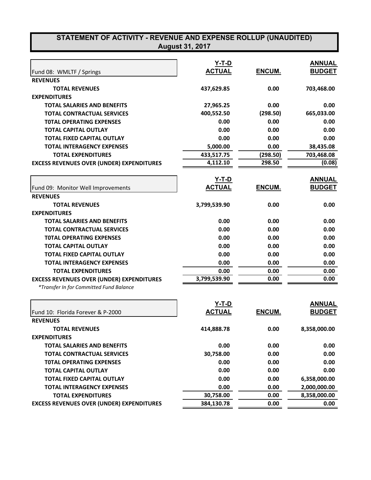| STATEMENT OF ACTIVITY - REVENUE AND EXPENSE ROLLUP (UNAUDITED)<br><b>August 31, 2017</b> |                               |          |               |  |  |
|------------------------------------------------------------------------------------------|-------------------------------|----------|---------------|--|--|
|                                                                                          |                               |          |               |  |  |
|                                                                                          | <u>Y-T-D</u><br><b>ACTUAL</b> |          | <b>ANNUAL</b> |  |  |
| Fund 08: WMLTF / Springs                                                                 |                               | ENCUM.   | <b>BUDGET</b> |  |  |
| <b>REVENUES</b>                                                                          |                               |          |               |  |  |
| <b>TOTAL REVENUES</b>                                                                    | 437,629.85                    | 0.00     | 703,468.00    |  |  |
| <b>EXPENDITURES</b>                                                                      |                               |          |               |  |  |
| <b>TOTAL SALARIES AND BENEFITS</b>                                                       | 27,965.25                     | 0.00     | 0.00          |  |  |
| <b>TOTAL CONTRACTUAL SERVICES</b>                                                        | 400,552.50                    | (298.50) | 665,033.00    |  |  |
| <b>TOTAL OPERATING EXPENSES</b>                                                          | 0.00                          | 0.00     | 0.00          |  |  |
| <b>TOTAL CAPITAL OUTLAY</b>                                                              | 0.00                          | 0.00     | 0.00          |  |  |
| TOTAL FIXED CAPITAL OUTLAY                                                               | 0.00                          | 0.00     | 0.00          |  |  |
| <b>TOTAL INTERAGENCY EXPENSES</b>                                                        | 5,000.00                      | 0.00     | 38,435.08     |  |  |
| <b>TOTAL EXPENDITURES</b>                                                                | 433,517.75                    | (298.50) | 703,468.08    |  |  |
| <b>EXCESS REVENUES OVER (UNDER) EXPENDITURES</b>                                         | 4,112.10                      | 298.50   | (0.08)        |  |  |
|                                                                                          | Y-T-D                         |          | <b>ANNUAL</b> |  |  |
| Fund 09: Monitor Well Improvements                                                       | <b>ACTUAL</b>                 | ENCUM.   | <b>BUDGET</b> |  |  |
| <b>REVENUES</b>                                                                          |                               |          |               |  |  |
| <b>TOTAL REVENUES</b>                                                                    | 3,799,539.90                  | 0.00     | 0.00          |  |  |
| <b>EXPENDITURES</b>                                                                      |                               |          |               |  |  |
| <b>TOTAL SALARIES AND BENEFITS</b>                                                       | 0.00                          | 0.00     | 0.00          |  |  |
| <b>TOTAL CONTRACTUAL SERVICES</b>                                                        | 0.00                          | 0.00     | 0.00          |  |  |
| <b>TOTAL OPERATING EXPENSES</b>                                                          | 0.00                          | 0.00     | 0.00          |  |  |
| <b>TOTAL CAPITAL OUTLAY</b>                                                              | 0.00                          | 0.00     | 0.00          |  |  |
| TOTAL FIXED CAPITAL OUTLAY                                                               | 0.00                          | 0.00     | 0.00          |  |  |
| <b>TOTAL INTERAGENCY EXPENSES</b>                                                        | 0.00                          | 0.00     | 0.00          |  |  |
| <b>TOTAL EXPENDITURES</b>                                                                | 0.00                          | 0.00     | 0.00          |  |  |
| <b>EXCESS REVENUES OVER (UNDER) EXPENDITURES</b>                                         | 3,799,539.90                  | 0.00     | 0.00          |  |  |
| *Transfer In for Committed Fund Balance                                                  |                               |          |               |  |  |
|                                                                                          | <u>Y-T-D</u>                  |          | <b>ANNUAL</b> |  |  |
| Fund 10: Florida Forever & P-2000                                                        | <b>ACTUAL</b>                 | ENCUM.   | <b>BUDGET</b> |  |  |
| <b>REVENUES</b>                                                                          |                               |          |               |  |  |
| <b>TOTAL REVENUES</b>                                                                    | 414,888.78                    | 0.00     | 8,358,000.00  |  |  |
| <b>EXPENDITURES</b>                                                                      |                               |          |               |  |  |
| <b>TOTAL SALARIES AND BENEFITS</b>                                                       | 0.00                          | 0.00     | 0.00          |  |  |
| <b>TOTAL CONTRACTUAL SERVICES</b>                                                        | 30,758.00                     | 0.00     | 0.00          |  |  |
| <b>TOTAL OPERATING EXPENSES</b>                                                          | 0.00                          | 0.00     | 0.00          |  |  |
| <b>TOTAL CAPITAL OUTLAY</b>                                                              | 0.00                          | 0.00     | 0.00          |  |  |
| <b>TOTAL FIXED CAPITAL OUTLAY</b>                                                        | 0.00                          | 0.00     | 6,358,000.00  |  |  |
| <b>TOTAL INTERAGENCY EXPENSES</b>                                                        | 0.00                          | 0.00     | 2,000,000.00  |  |  |
| <b>TOTAL EXPENDITURES</b>                                                                | 30,758.00                     | 0.00     | 8,358,000.00  |  |  |
|                                                                                          |                               |          |               |  |  |
| <b>EXCESS REVENUES OVER (UNDER) EXPENDITURES</b>                                         | 384,130.78                    | 0.00     | 0.00          |  |  |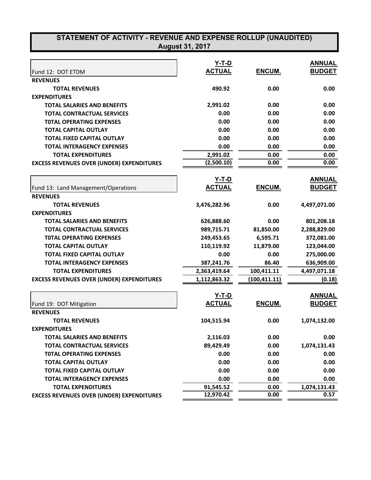| <b>Y-T-D</b><br><b>ANNUAL</b><br><b>ACTUAL</b><br><b>BUDGET</b><br>ENCUM.<br>Fund 12: DOT ETDM<br><b>REVENUES</b><br>0.00<br>0.00<br><b>TOTAL REVENUES</b><br>490.92<br><b>EXPENDITURES</b><br>2,991.02<br><b>TOTAL SALARIES AND BENEFITS</b><br>0.00<br>0.00<br><b>TOTAL CONTRACTUAL SERVICES</b><br>0.00<br>0.00<br>0.00<br>0.00<br>0.00<br>0.00<br><b>TOTAL OPERATING EXPENSES</b><br><b>TOTAL CAPITAL OUTLAY</b><br>0.00<br>0.00<br>0.00<br>TOTAL FIXED CAPITAL OUTLAY<br>0.00<br>0.00<br>0.00<br>0.00<br>0.00<br>0.00<br><b>TOTAL INTERAGENCY EXPENSES</b><br>2,991.02<br>0.00<br>0.00<br><b>TOTAL EXPENDITURES</b><br>(2,500.10)<br>0.00<br>0.00<br><b>EXCESS REVENUES OVER (UNDER) EXPENDITURES</b><br><u>Y-T-D</u><br><b>ACTUAL</b><br><b>ENCUM.</b><br>Fund 13: Land Management/Operations<br><b>REVENUES</b><br>0.00<br>4,497,071.00<br><b>TOTAL REVENUES</b><br>3,476,282.96<br><b>EXPENDITURES</b><br><b>TOTAL SALARIES AND BENEFITS</b><br>626,888.60<br>0.00<br>801,208.18<br><b>TOTAL CONTRACTUAL SERVICES</b><br>989,715.71<br>81,850.00<br>2,288,829.00<br>6,595.71<br><b>TOTAL OPERATING EXPENSES</b><br>249,453.65<br>372,081.00<br><b>TOTAL CAPITAL OUTLAY</b><br>110,119.92<br>11,879.00<br>123,044.00<br>TOTAL FIXED CAPITAL OUTLAY<br>0.00<br>0.00<br>275,000.00<br><b>TOTAL INTERAGENCY EXPENSES</b><br>86.40<br>636,909.00<br>387,241.76<br>100,411.11<br>2,363,419.64<br>4,497,071.18<br><b>TOTAL EXPENDITURES</b><br><b>EXCESS REVENUES OVER (UNDER) EXPENDITURES</b><br>(100, 411.11)<br>1,112,863.32<br>Y-T-D<br><u>ACTUAL</u><br><u>ENCUM.</u><br>Fund 19: DOT Mitigation<br><b>REVENUES</b><br>104,515.94<br>0.00<br><b>TOTAL REVENUES</b><br>1,074,132.00<br><b>EXPENDITURES</b><br>2,116.03<br>0.00<br>0.00<br><b>TOTAL SALARIES AND BENEFITS</b><br>89,429.49<br>0.00<br>1,074,131.43<br><b>TOTAL CONTRACTUAL SERVICES</b><br>0.00<br>0.00<br><b>TOTAL OPERATING EXPENSES</b><br>0.00<br>0.00<br>0.00<br>0.00<br><b>TOTAL CAPITAL OUTLAY</b><br>0.00<br><b>TOTAL FIXED CAPITAL OUTLAY</b><br>0.00<br>0.00<br><b>TOTAL INTERAGENCY EXPENSES</b><br>0.00<br>0.00<br>0.00<br><b>TOTAL EXPENDITURES</b><br>91,545.52<br>0.00<br>1,074,131.43 | STATEMENT OF ACTIVITY - REVENUE AND EXPENSE ROLLUP (UNAUDITED)<br><b>August 31, 2017</b> |           |      |      |  |  |
|----------------------------------------------------------------------------------------------------------------------------------------------------------------------------------------------------------------------------------------------------------------------------------------------------------------------------------------------------------------------------------------------------------------------------------------------------------------------------------------------------------------------------------------------------------------------------------------------------------------------------------------------------------------------------------------------------------------------------------------------------------------------------------------------------------------------------------------------------------------------------------------------------------------------------------------------------------------------------------------------------------------------------------------------------------------------------------------------------------------------------------------------------------------------------------------------------------------------------------------------------------------------------------------------------------------------------------------------------------------------------------------------------------------------------------------------------------------------------------------------------------------------------------------------------------------------------------------------------------------------------------------------------------------------------------------------------------------------------------------------------------------------------------------------------------------------------------------------------------------------------------------------------------------------------------------------------------------------------------------------------------------------------------------------------------------------------------------------------------------------------------------------------------------------------|------------------------------------------------------------------------------------------|-----------|------|------|--|--|
|                                                                                                                                                                                                                                                                                                                                                                                                                                                                                                                                                                                                                                                                                                                                                                                                                                                                                                                                                                                                                                                                                                                                                                                                                                                                                                                                                                                                                                                                                                                                                                                                                                                                                                                                                                                                                                                                                                                                                                                                                                                                                                                                                                            |                                                                                          |           |      |      |  |  |
|                                                                                                                                                                                                                                                                                                                                                                                                                                                                                                                                                                                                                                                                                                                                                                                                                                                                                                                                                                                                                                                                                                                                                                                                                                                                                                                                                                                                                                                                                                                                                                                                                                                                                                                                                                                                                                                                                                                                                                                                                                                                                                                                                                            |                                                                                          |           |      |      |  |  |
|                                                                                                                                                                                                                                                                                                                                                                                                                                                                                                                                                                                                                                                                                                                                                                                                                                                                                                                                                                                                                                                                                                                                                                                                                                                                                                                                                                                                                                                                                                                                                                                                                                                                                                                                                                                                                                                                                                                                                                                                                                                                                                                                                                            |                                                                                          |           |      |      |  |  |
|                                                                                                                                                                                                                                                                                                                                                                                                                                                                                                                                                                                                                                                                                                                                                                                                                                                                                                                                                                                                                                                                                                                                                                                                                                                                                                                                                                                                                                                                                                                                                                                                                                                                                                                                                                                                                                                                                                                                                                                                                                                                                                                                                                            |                                                                                          |           |      |      |  |  |
|                                                                                                                                                                                                                                                                                                                                                                                                                                                                                                                                                                                                                                                                                                                                                                                                                                                                                                                                                                                                                                                                                                                                                                                                                                                                                                                                                                                                                                                                                                                                                                                                                                                                                                                                                                                                                                                                                                                                                                                                                                                                                                                                                                            |                                                                                          |           |      |      |  |  |
|                                                                                                                                                                                                                                                                                                                                                                                                                                                                                                                                                                                                                                                                                                                                                                                                                                                                                                                                                                                                                                                                                                                                                                                                                                                                                                                                                                                                                                                                                                                                                                                                                                                                                                                                                                                                                                                                                                                                                                                                                                                                                                                                                                            |                                                                                          |           |      |      |  |  |
|                                                                                                                                                                                                                                                                                                                                                                                                                                                                                                                                                                                                                                                                                                                                                                                                                                                                                                                                                                                                                                                                                                                                                                                                                                                                                                                                                                                                                                                                                                                                                                                                                                                                                                                                                                                                                                                                                                                                                                                                                                                                                                                                                                            |                                                                                          |           |      |      |  |  |
|                                                                                                                                                                                                                                                                                                                                                                                                                                                                                                                                                                                                                                                                                                                                                                                                                                                                                                                                                                                                                                                                                                                                                                                                                                                                                                                                                                                                                                                                                                                                                                                                                                                                                                                                                                                                                                                                                                                                                                                                                                                                                                                                                                            |                                                                                          |           |      |      |  |  |
|                                                                                                                                                                                                                                                                                                                                                                                                                                                                                                                                                                                                                                                                                                                                                                                                                                                                                                                                                                                                                                                                                                                                                                                                                                                                                                                                                                                                                                                                                                                                                                                                                                                                                                                                                                                                                                                                                                                                                                                                                                                                                                                                                                            |                                                                                          |           |      |      |  |  |
| <b>ANNUAL</b><br><b>BUDGET</b><br>(0.18)<br><b>ANNUAL</b>                                                                                                                                                                                                                                                                                                                                                                                                                                                                                                                                                                                                                                                                                                                                                                                                                                                                                                                                                                                                                                                                                                                                                                                                                                                                                                                                                                                                                                                                                                                                                                                                                                                                                                                                                                                                                                                                                                                                                                                                                                                                                                                  |                                                                                          |           |      |      |  |  |
|                                                                                                                                                                                                                                                                                                                                                                                                                                                                                                                                                                                                                                                                                                                                                                                                                                                                                                                                                                                                                                                                                                                                                                                                                                                                                                                                                                                                                                                                                                                                                                                                                                                                                                                                                                                                                                                                                                                                                                                                                                                                                                                                                                            |                                                                                          |           |      |      |  |  |
|                                                                                                                                                                                                                                                                                                                                                                                                                                                                                                                                                                                                                                                                                                                                                                                                                                                                                                                                                                                                                                                                                                                                                                                                                                                                                                                                                                                                                                                                                                                                                                                                                                                                                                                                                                                                                                                                                                                                                                                                                                                                                                                                                                            |                                                                                          |           |      |      |  |  |
|                                                                                                                                                                                                                                                                                                                                                                                                                                                                                                                                                                                                                                                                                                                                                                                                                                                                                                                                                                                                                                                                                                                                                                                                                                                                                                                                                                                                                                                                                                                                                                                                                                                                                                                                                                                                                                                                                                                                                                                                                                                                                                                                                                            |                                                                                          |           |      |      |  |  |
|                                                                                                                                                                                                                                                                                                                                                                                                                                                                                                                                                                                                                                                                                                                                                                                                                                                                                                                                                                                                                                                                                                                                                                                                                                                                                                                                                                                                                                                                                                                                                                                                                                                                                                                                                                                                                                                                                                                                                                                                                                                                                                                                                                            |                                                                                          |           |      |      |  |  |
|                                                                                                                                                                                                                                                                                                                                                                                                                                                                                                                                                                                                                                                                                                                                                                                                                                                                                                                                                                                                                                                                                                                                                                                                                                                                                                                                                                                                                                                                                                                                                                                                                                                                                                                                                                                                                                                                                                                                                                                                                                                                                                                                                                            |                                                                                          |           |      |      |  |  |
|                                                                                                                                                                                                                                                                                                                                                                                                                                                                                                                                                                                                                                                                                                                                                                                                                                                                                                                                                                                                                                                                                                                                                                                                                                                                                                                                                                                                                                                                                                                                                                                                                                                                                                                                                                                                                                                                                                                                                                                                                                                                                                                                                                            |                                                                                          |           |      |      |  |  |
|                                                                                                                                                                                                                                                                                                                                                                                                                                                                                                                                                                                                                                                                                                                                                                                                                                                                                                                                                                                                                                                                                                                                                                                                                                                                                                                                                                                                                                                                                                                                                                                                                                                                                                                                                                                                                                                                                                                                                                                                                                                                                                                                                                            |                                                                                          |           |      |      |  |  |
|                                                                                                                                                                                                                                                                                                                                                                                                                                                                                                                                                                                                                                                                                                                                                                                                                                                                                                                                                                                                                                                                                                                                                                                                                                                                                                                                                                                                                                                                                                                                                                                                                                                                                                                                                                                                                                                                                                                                                                                                                                                                                                                                                                            |                                                                                          |           |      |      |  |  |
|                                                                                                                                                                                                                                                                                                                                                                                                                                                                                                                                                                                                                                                                                                                                                                                                                                                                                                                                                                                                                                                                                                                                                                                                                                                                                                                                                                                                                                                                                                                                                                                                                                                                                                                                                                                                                                                                                                                                                                                                                                                                                                                                                                            |                                                                                          |           |      |      |  |  |
|                                                                                                                                                                                                                                                                                                                                                                                                                                                                                                                                                                                                                                                                                                                                                                                                                                                                                                                                                                                                                                                                                                                                                                                                                                                                                                                                                                                                                                                                                                                                                                                                                                                                                                                                                                                                                                                                                                                                                                                                                                                                                                                                                                            |                                                                                          |           |      |      |  |  |
|                                                                                                                                                                                                                                                                                                                                                                                                                                                                                                                                                                                                                                                                                                                                                                                                                                                                                                                                                                                                                                                                                                                                                                                                                                                                                                                                                                                                                                                                                                                                                                                                                                                                                                                                                                                                                                                                                                                                                                                                                                                                                                                                                                            |                                                                                          |           |      |      |  |  |
|                                                                                                                                                                                                                                                                                                                                                                                                                                                                                                                                                                                                                                                                                                                                                                                                                                                                                                                                                                                                                                                                                                                                                                                                                                                                                                                                                                                                                                                                                                                                                                                                                                                                                                                                                                                                                                                                                                                                                                                                                                                                                                                                                                            |                                                                                          |           |      |      |  |  |
|                                                                                                                                                                                                                                                                                                                                                                                                                                                                                                                                                                                                                                                                                                                                                                                                                                                                                                                                                                                                                                                                                                                                                                                                                                                                                                                                                                                                                                                                                                                                                                                                                                                                                                                                                                                                                                                                                                                                                                                                                                                                                                                                                                            |                                                                                          |           |      |      |  |  |
|                                                                                                                                                                                                                                                                                                                                                                                                                                                                                                                                                                                                                                                                                                                                                                                                                                                                                                                                                                                                                                                                                                                                                                                                                                                                                                                                                                                                                                                                                                                                                                                                                                                                                                                                                                                                                                                                                                                                                                                                                                                                                                                                                                            |                                                                                          |           |      |      |  |  |
|                                                                                                                                                                                                                                                                                                                                                                                                                                                                                                                                                                                                                                                                                                                                                                                                                                                                                                                                                                                                                                                                                                                                                                                                                                                                                                                                                                                                                                                                                                                                                                                                                                                                                                                                                                                                                                                                                                                                                                                                                                                                                                                                                                            |                                                                                          |           |      |      |  |  |
|                                                                                                                                                                                                                                                                                                                                                                                                                                                                                                                                                                                                                                                                                                                                                                                                                                                                                                                                                                                                                                                                                                                                                                                                                                                                                                                                                                                                                                                                                                                                                                                                                                                                                                                                                                                                                                                                                                                                                                                                                                                                                                                                                                            |                                                                                          |           |      |      |  |  |
|                                                                                                                                                                                                                                                                                                                                                                                                                                                                                                                                                                                                                                                                                                                                                                                                                                                                                                                                                                                                                                                                                                                                                                                                                                                                                                                                                                                                                                                                                                                                                                                                                                                                                                                                                                                                                                                                                                                                                                                                                                                                                                                                                                            |                                                                                          |           |      |      |  |  |
| <b>BUDGET</b>                                                                                                                                                                                                                                                                                                                                                                                                                                                                                                                                                                                                                                                                                                                                                                                                                                                                                                                                                                                                                                                                                                                                                                                                                                                                                                                                                                                                                                                                                                                                                                                                                                                                                                                                                                                                                                                                                                                                                                                                                                                                                                                                                              |                                                                                          |           |      |      |  |  |
|                                                                                                                                                                                                                                                                                                                                                                                                                                                                                                                                                                                                                                                                                                                                                                                                                                                                                                                                                                                                                                                                                                                                                                                                                                                                                                                                                                                                                                                                                                                                                                                                                                                                                                                                                                                                                                                                                                                                                                                                                                                                                                                                                                            |                                                                                          |           |      |      |  |  |
|                                                                                                                                                                                                                                                                                                                                                                                                                                                                                                                                                                                                                                                                                                                                                                                                                                                                                                                                                                                                                                                                                                                                                                                                                                                                                                                                                                                                                                                                                                                                                                                                                                                                                                                                                                                                                                                                                                                                                                                                                                                                                                                                                                            |                                                                                          |           |      |      |  |  |
|                                                                                                                                                                                                                                                                                                                                                                                                                                                                                                                                                                                                                                                                                                                                                                                                                                                                                                                                                                                                                                                                                                                                                                                                                                                                                                                                                                                                                                                                                                                                                                                                                                                                                                                                                                                                                                                                                                                                                                                                                                                                                                                                                                            |                                                                                          |           |      |      |  |  |
|                                                                                                                                                                                                                                                                                                                                                                                                                                                                                                                                                                                                                                                                                                                                                                                                                                                                                                                                                                                                                                                                                                                                                                                                                                                                                                                                                                                                                                                                                                                                                                                                                                                                                                                                                                                                                                                                                                                                                                                                                                                                                                                                                                            |                                                                                          |           |      |      |  |  |
|                                                                                                                                                                                                                                                                                                                                                                                                                                                                                                                                                                                                                                                                                                                                                                                                                                                                                                                                                                                                                                                                                                                                                                                                                                                                                                                                                                                                                                                                                                                                                                                                                                                                                                                                                                                                                                                                                                                                                                                                                                                                                                                                                                            |                                                                                          |           |      |      |  |  |
|                                                                                                                                                                                                                                                                                                                                                                                                                                                                                                                                                                                                                                                                                                                                                                                                                                                                                                                                                                                                                                                                                                                                                                                                                                                                                                                                                                                                                                                                                                                                                                                                                                                                                                                                                                                                                                                                                                                                                                                                                                                                                                                                                                            |                                                                                          |           |      |      |  |  |
|                                                                                                                                                                                                                                                                                                                                                                                                                                                                                                                                                                                                                                                                                                                                                                                                                                                                                                                                                                                                                                                                                                                                                                                                                                                                                                                                                                                                                                                                                                                                                                                                                                                                                                                                                                                                                                                                                                                                                                                                                                                                                                                                                                            |                                                                                          |           |      |      |  |  |
|                                                                                                                                                                                                                                                                                                                                                                                                                                                                                                                                                                                                                                                                                                                                                                                                                                                                                                                                                                                                                                                                                                                                                                                                                                                                                                                                                                                                                                                                                                                                                                                                                                                                                                                                                                                                                                                                                                                                                                                                                                                                                                                                                                            |                                                                                          |           |      |      |  |  |
|                                                                                                                                                                                                                                                                                                                                                                                                                                                                                                                                                                                                                                                                                                                                                                                                                                                                                                                                                                                                                                                                                                                                                                                                                                                                                                                                                                                                                                                                                                                                                                                                                                                                                                                                                                                                                                                                                                                                                                                                                                                                                                                                                                            |                                                                                          |           |      |      |  |  |
|                                                                                                                                                                                                                                                                                                                                                                                                                                                                                                                                                                                                                                                                                                                                                                                                                                                                                                                                                                                                                                                                                                                                                                                                                                                                                                                                                                                                                                                                                                                                                                                                                                                                                                                                                                                                                                                                                                                                                                                                                                                                                                                                                                            |                                                                                          |           |      |      |  |  |
|                                                                                                                                                                                                                                                                                                                                                                                                                                                                                                                                                                                                                                                                                                                                                                                                                                                                                                                                                                                                                                                                                                                                                                                                                                                                                                                                                                                                                                                                                                                                                                                                                                                                                                                                                                                                                                                                                                                                                                                                                                                                                                                                                                            |                                                                                          |           |      |      |  |  |
|                                                                                                                                                                                                                                                                                                                                                                                                                                                                                                                                                                                                                                                                                                                                                                                                                                                                                                                                                                                                                                                                                                                                                                                                                                                                                                                                                                                                                                                                                                                                                                                                                                                                                                                                                                                                                                                                                                                                                                                                                                                                                                                                                                            |                                                                                          |           |      |      |  |  |
|                                                                                                                                                                                                                                                                                                                                                                                                                                                                                                                                                                                                                                                                                                                                                                                                                                                                                                                                                                                                                                                                                                                                                                                                                                                                                                                                                                                                                                                                                                                                                                                                                                                                                                                                                                                                                                                                                                                                                                                                                                                                                                                                                                            | <b>EXCESS REVENUES OVER (UNDER) EXPENDITURES</b>                                         | 12,970.42 | 0.00 | 0.57 |  |  |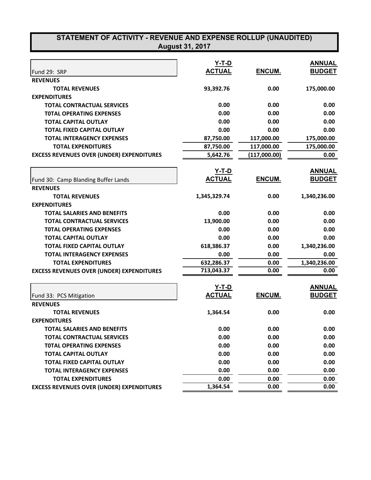| STATEMENT OF ACTIVITY - REVENUE AND EXPENSE ROLLUP (UNAUDITED)<br><b>August 31, 2017</b> |                               |              |               |  |  |
|------------------------------------------------------------------------------------------|-------------------------------|--------------|---------------|--|--|
|                                                                                          |                               |              | <b>ANNUAL</b> |  |  |
|                                                                                          | <u>Y-T-D</u><br><b>ACTUAL</b> | ENCUM.       | <b>BUDGET</b> |  |  |
| Fund 29: SRP                                                                             |                               |              |               |  |  |
| <b>REVENUES</b><br><b>TOTAL REVENUES</b>                                                 |                               | 0.00         | 175,000.00    |  |  |
| <b>EXPENDITURES</b>                                                                      | 93,392.76                     |              |               |  |  |
| <b>TOTAL CONTRACTUAL SERVICES</b>                                                        | 0.00                          | 0.00         | 0.00          |  |  |
| <b>TOTAL OPERATING EXPENSES</b>                                                          | 0.00                          | 0.00         | 0.00          |  |  |
| <b>TOTAL CAPITAL OUTLAY</b>                                                              | 0.00                          | 0.00         | 0.00          |  |  |
| TOTAL FIXED CAPITAL OUTLAY                                                               | 0.00                          | 0.00         | 0.00          |  |  |
| <b>TOTAL INTERAGENCY EXPENSES</b>                                                        | 87,750.00                     | 117,000.00   | 175,000.00    |  |  |
| <b>TOTAL EXPENDITURES</b>                                                                | 87,750.00                     | 117,000.00   | 175,000.00    |  |  |
| <b>EXCESS REVENUES OVER (UNDER) EXPENDITURES</b>                                         | 5,642.76                      | (117,000.00) | 0.00          |  |  |
|                                                                                          |                               |              |               |  |  |
|                                                                                          | Y-T-D                         |              | <b>ANNUAL</b> |  |  |
| Fund 30: Camp Blanding Buffer Lands                                                      | <b>ACTUAL</b>                 | ENCUM.       | <b>BUDGET</b> |  |  |
| <b>REVENUES</b>                                                                          |                               |              |               |  |  |
| <b>TOTAL REVENUES</b>                                                                    | 1,345,329.74                  | 0.00         | 1,340,236.00  |  |  |
| <b>EXPENDITURES</b>                                                                      |                               |              |               |  |  |
| <b>TOTAL SALARIES AND BENEFITS</b>                                                       | 0.00                          | 0.00         | 0.00          |  |  |
| <b>TOTAL CONTRACTUAL SERVICES</b>                                                        | 13,900.00                     | 0.00         | 0.00          |  |  |
| <b>TOTAL OPERATING EXPENSES</b>                                                          | 0.00                          | 0.00         | 0.00          |  |  |
| <b>TOTAL CAPITAL OUTLAY</b>                                                              | 0.00                          | 0.00         | 0.00          |  |  |
| TOTAL FIXED CAPITAL OUTLAY                                                               | 618,386.37                    | 0.00         | 1,340,236.00  |  |  |
| <b>TOTAL INTERAGENCY EXPENSES</b>                                                        | 0.00                          | 0.00         | 0.00          |  |  |
| <b>TOTAL EXPENDITURES</b>                                                                | 632,286.37                    | 0.00         | 1,340,236.00  |  |  |
| <b>EXCESS REVENUES OVER (UNDER) EXPENDITURES</b>                                         | 713,043.37                    | 0.00         | 0.00          |  |  |
|                                                                                          |                               |              |               |  |  |
|                                                                                          | Y-T-D                         |              | <b>ANNUAL</b> |  |  |
| Fund 33: PCS Mitigation                                                                  | <b>ACTUAL</b>                 | ENCUM.       | <b>BUDGET</b> |  |  |
| <b>REVENUES</b>                                                                          |                               |              |               |  |  |
| <b>TOTAL REVENUES</b>                                                                    | 1,364.54                      | 0.00         | 0.00          |  |  |
| <b>EXPENDITURES</b>                                                                      |                               |              |               |  |  |
| <b>TOTAL SALARIES AND BENEFITS</b>                                                       | 0.00                          | 0.00         | 0.00          |  |  |
| <b>TOTAL CONTRACTUAL SERVICES</b>                                                        | 0.00                          | 0.00         | 0.00          |  |  |
| <b>TOTAL OPERATING EXPENSES</b>                                                          | 0.00                          | 0.00         | 0.00          |  |  |
| <b>TOTAL CAPITAL OUTLAY</b>                                                              | 0.00                          | 0.00         | 0.00          |  |  |
| <b>TOTAL FIXED CAPITAL OUTLAY</b>                                                        | 0.00                          | 0.00         | 0.00          |  |  |
| <b>TOTAL INTERAGENCY EXPENSES</b>                                                        | 0.00                          | 0.00         | 0.00          |  |  |
| <b>TOTAL EXPENDITURES</b>                                                                | 0.00                          | 0.00         | 0.00          |  |  |
| <b>EXCESS REVENUES OVER (UNDER) EXPENDITURES</b>                                         | 1,364.54                      | 0.00         | 0.00          |  |  |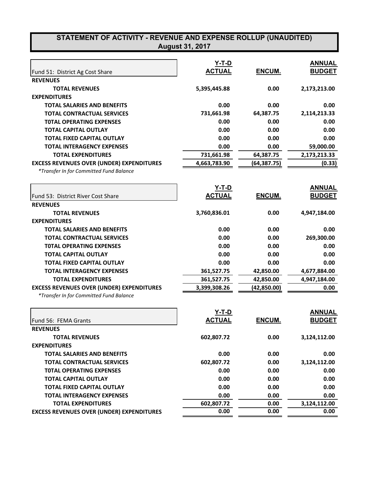## **STATEMENT OF ACTIVITY - REVENUE AND EXPENSE ROLLUP (UNAUDITED) August 31, 2017**

|                                                  | Y-T-D         |               | <b>ANNUAL</b> |
|--------------------------------------------------|---------------|---------------|---------------|
| Fund 51: District Ag Cost Share                  | <b>ACTUAL</b> | <b>ENCUM.</b> | <b>BUDGET</b> |
| <b>REVENUES</b>                                  |               |               |               |
| <b>TOTAL REVENUES</b>                            | 5,395,445.88  | 0.00          | 2,173,213.00  |
| <b>EXPENDITURES</b>                              |               |               |               |
| <b>TOTAL SALARIES AND BENEFITS</b>               | 0.00          | 0.00          | 0.00          |
| <b>TOTAL CONTRACTUAL SERVICES</b>                | 731,661.98    | 64,387.75     | 2,114,213.33  |
| <b>TOTAL OPERATING EXPENSES</b>                  | 0.00          | 0.00          | 0.00          |
| <b>TOTAL CAPITAL OUTLAY</b>                      | 0.00          | 0.00          | 0.00          |
| TOTAL FIXED CAPITAL OUTLAY                       | 0.00          | 0.00          | 0.00          |
| <b>TOTAL INTERAGENCY EXPENSES</b>                | 0.00          | 0.00          | 59,000.00     |
| <b>TOTAL EXPENDITURES</b>                        | 731,661.98    | 64,387.75     | 2,173,213.33  |
| <b>EXCESS REVENUES OVER (UNDER) EXPENDITURES</b> | 4,663,783.90  | (64, 387.75)  | (0.33)        |
| *Transfer In for Committed Fund Balance          |               |               |               |
|                                                  | <u>Y-T-D</u>  |               | <b>ANNUAL</b> |
| Fund 53: District River Cost Share               | <b>ACTUAL</b> | ENCUM.        | <b>BUDGET</b> |
| <b>REVENUES</b>                                  |               |               |               |
| <b>TOTAL REVENUES</b>                            | 3,760,836.01  | 0.00          | 4,947,184.00  |
| <b>EXPENDITURES</b>                              |               |               |               |
| <b>TOTAL SALARIES AND BENEFITS</b>               | 0.00          | 0.00          | 0.00          |
| <b>TOTAL CONTRACTUAL SERVICES</b>                | 0.00          | 0.00          | 269,300.00    |
| <b>TOTAL OPERATING EXPENSES</b>                  | 0.00          | 0.00          | 0.00          |
| <b>TOTAL CAPITAL OUTLAY</b>                      | 0.00          | 0.00          | 0.00          |
| <b>TOTAL FIXED CAPITAL OUTLAY</b>                | 0.00          | 0.00          | 0.00          |
| <b>TOTAL INTERAGENCY EXPENSES</b>                | 361,527.75    | 42,850.00     | 4,677,884.00  |
| <b>TOTAL EXPENDITURES</b>                        | 361,527.75    | 42,850.00     | 4,947,184.00  |
| <b>EXCESS REVENUES OVER (UNDER) EXPENDITURES</b> | 3,399,308.26  | (42, 850.00)  | 0.00          |
| *Transfer In for Committed Fund Balance          |               |               |               |
|                                                  | Y-T-D         |               | <b>ANNUAL</b> |
| Fund 56: FEMA Grants                             | <b>ACTUAL</b> | <b>ENCUM.</b> | <b>BUDGET</b> |
| <b>REVENUES</b>                                  |               |               |               |
| <b>TOTAL REVENUES</b>                            | 602,807.72    | 0.00          | 3,124,112.00  |
| <b>EXPENDITURES</b>                              |               |               |               |
| <b>TOTAL SALARIES AND BENEFITS</b>               | 0.00          | 0.00          | 0.00          |
| <b>TOTAL CONTRACTUAL SERVICES</b>                | 602,807.72    | 0.00          | 3,124,112.00  |
| <b>TOTAL OPERATING EXPENSES</b>                  | 0.00          | 0.00          | 0.00          |
| <b>TOTAL CAPITAL OUTLAY</b>                      | 0.00          | 0.00          | 0.00          |
| <b>TOTAL FIXED CAPITAL OUTLAY</b>                | 0.00          | 0.00          | 0.00          |
| <b>TOTAL INTERAGENCY EXPENSES</b>                | 0.00          | 0.00          | 0.00          |
| <b>TOTAL EXPENDITURES</b>                        | 602,807.72    | 0.00          | 3,124,112.00  |
| <b>EXCESS REVENUES OVER (UNDER) EXPENDITURES</b> | 0.00          | 0.00          | 0.00          |